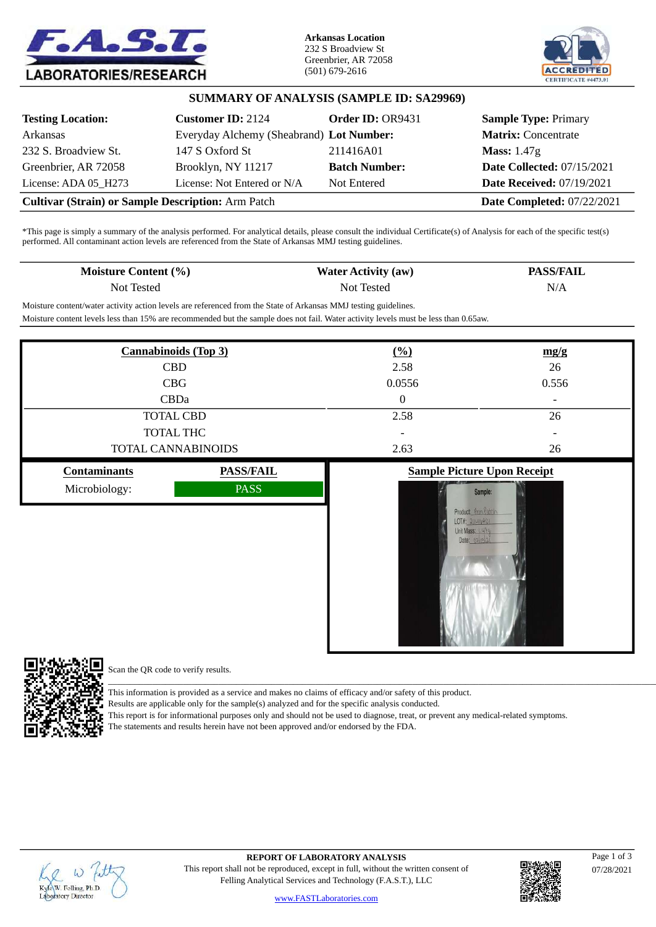



### **SUMMARY OF ANALYSIS (SAMPLE ID: SA29969)**

| <b>Testing Location:</b>                                  | <b>Customer ID: 2124</b>                 | Order ID: OR9431     | <b>Sample Type: Primary</b>       |
|-----------------------------------------------------------|------------------------------------------|----------------------|-----------------------------------|
| Arkansas                                                  | Everyday Alchemy (Sheabrand) Lot Number: |                      | <b>Matrix: Concentrate</b>        |
| 232 S. Broadview St.                                      | 147 S Oxford St                          | 211416A01            | <b>Mass: 1.47g</b>                |
| Greenbrier, AR 72058                                      | Brooklyn, NY 11217                       | <b>Batch Number:</b> | <b>Date Collected: 07/15/2021</b> |
| License: ADA 05 H273                                      | License: Not Entered or N/A              | Not Entered          | <b>Date Received: 07/19/2021</b>  |
| <b>Cultivar (Strain) or Sample Description: Arm Patch</b> |                                          |                      | <b>Date Completed: 07/22/2021</b> |

\*This page is simply a summary of the analysis performed. For analytical details, please consult the individual Certificate(s) of Analysis for each of the specific test(s) performed. All contaminant action levels are referenced from the State of Arkansas MMJ testing guidelines.

| <b>Moisture Content (%)</b><br>Not Tested                                                                                                                                                                                                              | <b>Water Activity (aw)</b><br>Not Tested | <b>PASS/FAIL</b><br>N/A |  |
|--------------------------------------------------------------------------------------------------------------------------------------------------------------------------------------------------------------------------------------------------------|------------------------------------------|-------------------------|--|
| Moisture content/water activity action levels are referenced from the State of Arkansas MMJ testing guidelines.<br>Moisture content levels less than 15% are recommended but the sample does not fail. Water activity levels must be less than 0.65aw. |                                          |                         |  |
| <b>Cannabinoids</b> (Top 3)                                                                                                                                                                                                                            | (%)                                      | mg/g                    |  |
| <b>CBD</b>                                                                                                                                                                                                                                             | 2.58                                     | 26                      |  |
| CBG                                                                                                                                                                                                                                                    | 0.0556                                   | 0.556                   |  |
| <b>CBDa</b>                                                                                                                                                                                                                                            | $\theta$                                 |                         |  |
| <b>TOTAL CBD</b>                                                                                                                                                                                                                                       | 2.58                                     | 26                      |  |
| <b>TOTAL THC</b>                                                                                                                                                                                                                                       | ٠                                        |                         |  |
| <b>TOTAL CANNABINOIDS</b>                                                                                                                                                                                                                              | 2.63                                     | 26                      |  |



# **Sample Picture Upon Receipt**





Scan the QR code to verify results.

This information is provided as a service and makes no claims of efficacy and/or safety of this product.

Results are applicable only for the sample(s) analyzed and for the specific analysis conducted.

This report is for informational purposes only and should not be used to diagnose, treat, or prevent any medical-related symptoms.

\_\_\_\_\_\_\_\_\_\_\_\_\_\_\_\_\_\_\_\_\_\_\_\_\_\_\_\_\_\_\_\_\_\_\_\_\_\_\_\_\_\_\_\_\_\_\_\_\_\_\_\_\_\_\_\_\_\_\_\_\_\_\_\_\_\_\_\_\_\_\_\_\_\_\_\_\_\_\_\_\_\_\_\_\_\_\_\_\_\_\_\_\_\_\_\_\_\_\_\_\_\_\_\_\_\_\_\_\_\_\_\_\_\_\_\_\_\_\_\_\_\_\_\_\_\_\_\_\_\_\_\_

The statements and results herein have not been approved and/or endorsed by the FDA.



**REPORT OF LABORATORY ANALYSIS** This report shall not be reproduced, except in full, without the written consent of Felling Analytical Services and Technology (F.A.S.T.), LLC

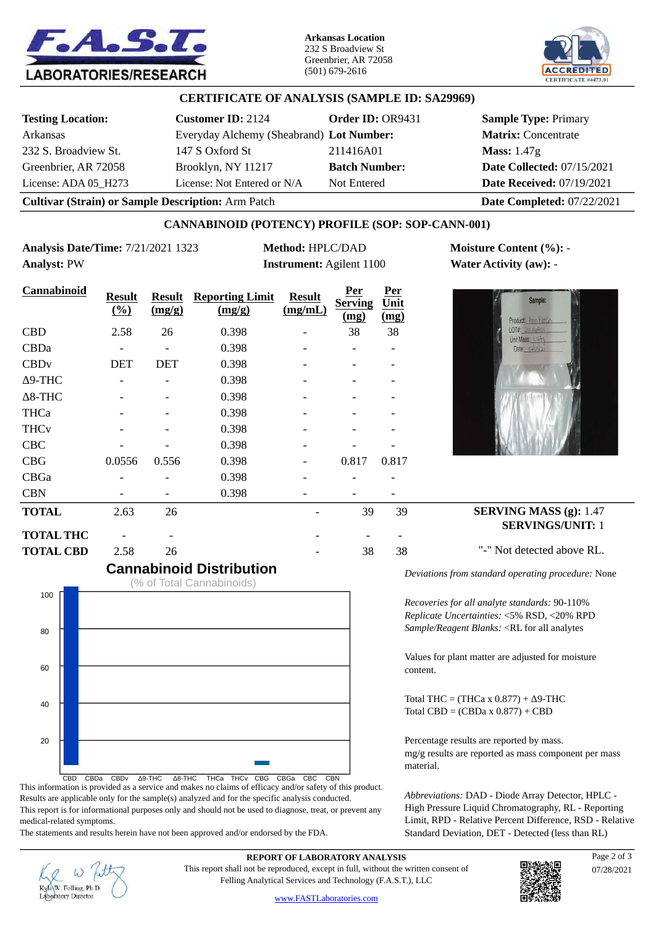

**Arkansas Location** 232 S Broadview St Greenbrier, AR 72058 (501) 679-2616



## **CERTIFICATE OF ANALYSIS (SAMPLE ID: SA29969)**

| <b>Testing Location:</b>                                  | <b>Customer ID: 2124</b>                 | Order ID: OR9431     | <b>Sample Type: Primary</b>       |
|-----------------------------------------------------------|------------------------------------------|----------------------|-----------------------------------|
| Arkansas                                                  | Everyday Alchemy (Sheabrand) Lot Number: |                      | <b>Matrix: Concentrate</b>        |
| 232 S. Broadview St.                                      | 147 S Oxford St                          | 211416A01            | <b>Mass: 1.47g</b>                |
| Greenbrier, AR 72058                                      | Brooklyn, NY 11217                       | <b>Batch Number:</b> | <b>Date Collected: 07/15/2021</b> |
| License: ADA 05_H273                                      | License: Not Entered or N/A              | Not Entered          | <b>Date Received: 07/19/2021</b>  |
| <b>Cultivar (Strain) or Sample Description: Arm Patch</b> |                                          |                      | <b>Date Completed: 07/22/2021</b> |

## **CANNABINOID (POTENCY) PROFILE (SOP: SOP-CANN-001)**

**Analysis Date/Time:** 7/21/2021 1323 **Method:** HPLC/DAD **Moisture Content (%):** - **Analyst:** PW **Instrument:** Agilent 1100 **Water Activity (aw):** -

**(%)**

**Result (mg/g)**

**Reporting Limit (mg/g)**

CBD 2.58 26 0.398 - 38 38 CBDa - - 0.398 - - -CBDv DET DET 0.398 - - - $\Delta$ 9-THC - - - 0.398 - - - $\Delta$ 8-THC - - - 0.398 - - -THCa  $0.398$   $-$ THCv - - 0.398 - - -CBC - - - 0.398 - - -CBG 0.0556 0.556 0.398 - 0.817 0.817  $CBGa$  - - - 0.398 - - -CBN - - 0.398 - - -**TOTAL** 2.63 26 - 39 39

**TOTAL THC** - - - - - **TOTAL CBD** 2.58 26 - 38 38

> **Cannabinoid Distribution** (% of Total Cannabinoids)

CBD CBDa CBDv Δ9-THC Δ8-THC THCa THCv CBG CBGa CBC CBN

This information is provided as a service and makes no claims of efficacy and/or safety of this product. Results are applicable only for the sample(s) analyzed and for the specific analysis conducted. This report is for informational purposes only and should not be used to diagnose, treat, or prevent any

The statements and results herein have not been approved and/or endorsed by the FDA.

**Cannabinoid Result**

100

80

60

40

20

**Per <u>Serving</u>** Unit **(mg)**

**Per**

**(mg)**

**Result (mg/mL)**



# **SERVING MASS (g):** 1.47 **SERVINGS/UNIT:** 1

#### "-" Not detected above RL.

*Deviations from standard operating procedure:* None

*Recoveries for all analyte standards:* 90-110% *Replicate Uncertainties:* <5% RSD, <20% RPD *Sample/Reagent Blanks:* <RL for all analytes

Values for plant matter are adjusted for moisture content.

Total THC = (THCa x  $0.877$ ) +  $\Delta$ 9-THC Total CBD =  $(CBDa \times 0.877) + CBD$ 

Percentage results are reported by mass. mg/g results are reported as mass component per mass material.

*Abbreviations:* DAD - Diode Array Detector, HPLC - High Pressure Liquid Chromatography, RL - Reporting Limit, RPD - Relative Percent Difference, RSD - Relative Standard Deviation, DET - Detected (less than RL)

KyleW. Felling, Ph.D. aboratory Director

medical-related symptoms.

**REPORT OF LABORATORY ANALYSIS**

This report shall not be reproduced, except in full, without the written consent of Felling Analytical Services and Technology (F.A.S.T.), LLC



07/28/2021 Page 2 of 3

www.FASTLaboratories.com